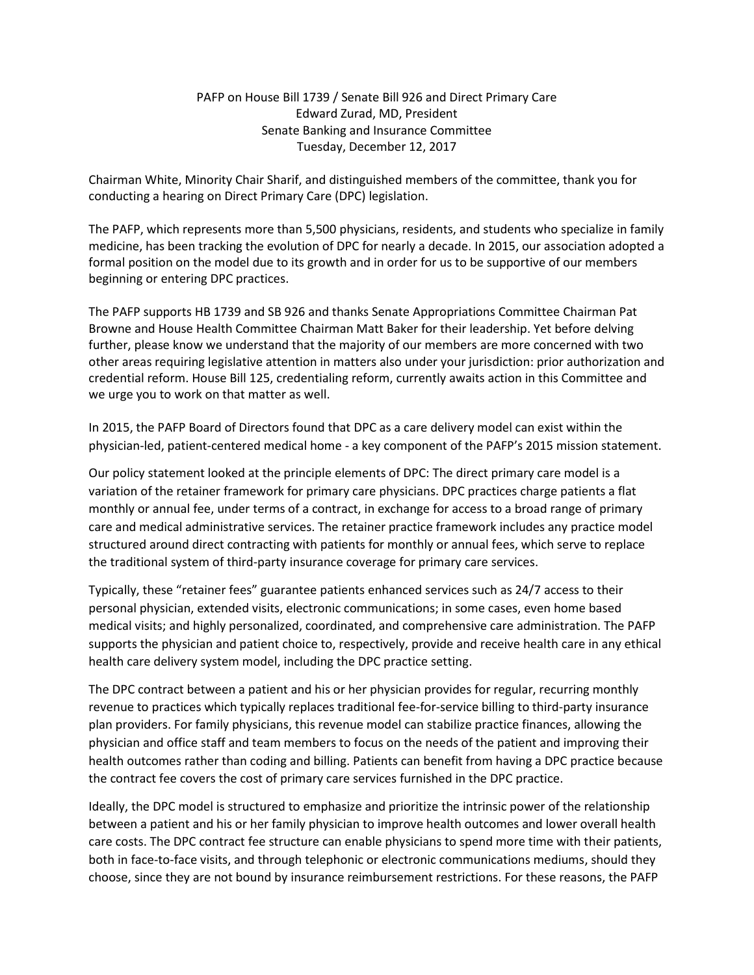## PAFP on House Bill 1739 / Senate Bill 926 and Direct Primary Care Edward Zurad, MD, President Senate Banking and Insurance Committee Tuesday, December 12, 2017

Chairman White, Minority Chair Sharif, and distinguished members of the committee, thank you for conducting a hearing on Direct Primary Care (DPC) legislation.

The PAFP, which represents more than 5,500 physicians, residents, and students who specialize in family medicine, has been tracking the evolution of DPC for nearly a decade. In 2015, our association adopted a formal position on the model due to its growth and in order for us to be supportive of our members beginning or entering DPC practices.

The PAFP supports HB 1739 and SB 926 and thanks Senate Appropriations Committee Chairman Pat Browne and House Health Committee Chairman Matt Baker for their leadership. Yet before delving further, please know we understand that the majority of our members are more concerned with two other areas requiring legislative attention in matters also under your jurisdiction: prior authorization and credential reform. House Bill 125, credentialing reform, currently awaits action in this Committee and we urge you to work on that matter as well.

In 2015, the PAFP Board of Directors found that DPC as a care delivery model can exist within the physician-led, patient-centered medical home - a key component of the PAFP's 2015 mission statement.

Our policy statement looked at the principle elements of DPC: The direct primary care model is a variation of the retainer framework for primary care physicians. DPC practices charge patients a flat monthly or annual fee, under terms of a contract, in exchange for access to a broad range of primary care and medical administrative services. The retainer practice framework includes any practice model structured around direct contracting with patients for monthly or annual fees, which serve to replace the traditional system of third-party insurance coverage for primary care services.

Typically, these "retainer fees" guarantee patients enhanced services such as 24/7 access to their personal physician, extended visits, electronic communications; in some cases, even home based medical visits; and highly personalized, coordinated, and comprehensive care administration. The PAFP supports the physician and patient choice to, respectively, provide and receive health care in any ethical health care delivery system model, including the DPC practice setting.

The DPC contract between a patient and his or her physician provides for regular, recurring monthly revenue to practices which typically replaces traditional fee-for-service billing to third-party insurance plan providers. For family physicians, this revenue model can stabilize practice finances, allowing the physician and office staff and team members to focus on the needs of the patient and improving their health outcomes rather than coding and billing. Patients can benefit from having a DPC practice because the contract fee covers the cost of primary care services furnished in the DPC practice.

Ideally, the DPC model is structured to emphasize and prioritize the intrinsic power of the relationship between a patient and his or her family physician to improve health outcomes and lower overall health care costs. The DPC contract fee structure can enable physicians to spend more time with their patients, both in face-to-face visits, and through telephonic or electronic communications mediums, should they choose, since they are not bound by insurance reimbursement restrictions. For these reasons, the PAFP